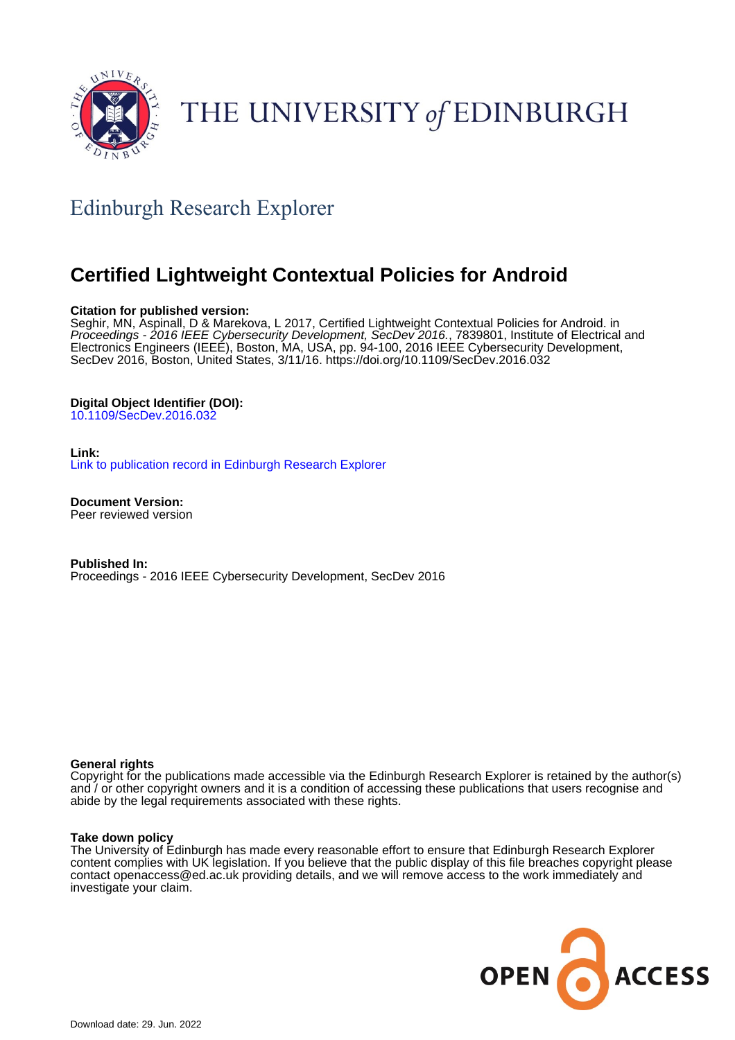

# THE UNIVERSITY of EDINBURGH

# Edinburgh Research Explorer

# **Certified Lightweight Contextual Policies for Android**

## **Citation for published version:**

Seghir, MN, Aspinall, D & Marekova, L 2017, Certified Lightweight Contextual Policies for Android. in Proceedings - 2016 IEEE Cybersecurity Development, SecDev 2016., 7839801, Institute of Electrical and Electronics Engineers (IEEE), Boston, MA, USA, pp. 94-100, 2016 IEEE Cybersecurity Development, SecDev 2016, Boston, United States, 3/11/16. <https://doi.org/10.1109/SecDev.2016.032>

## **Digital Object Identifier (DOI):**

[10.1109/SecDev.2016.032](https://doi.org/10.1109/SecDev.2016.032)

### **Link:**

[Link to publication record in Edinburgh Research Explorer](https://www.research.ed.ac.uk/en/publications/37387393-da96-4390-9f3c-9d6510f6f406)

**Document Version:** Peer reviewed version

**Published In:** Proceedings - 2016 IEEE Cybersecurity Development, SecDev 2016

### **General rights**

Copyright for the publications made accessible via the Edinburgh Research Explorer is retained by the author(s) and / or other copyright owners and it is a condition of accessing these publications that users recognise and abide by the legal requirements associated with these rights.

#### **Take down policy**

The University of Edinburgh has made every reasonable effort to ensure that Edinburgh Research Explorer content complies with UK legislation. If you believe that the public display of this file breaches copyright please contact openaccess@ed.ac.uk providing details, and we will remove access to the work immediately and investigate your claim.

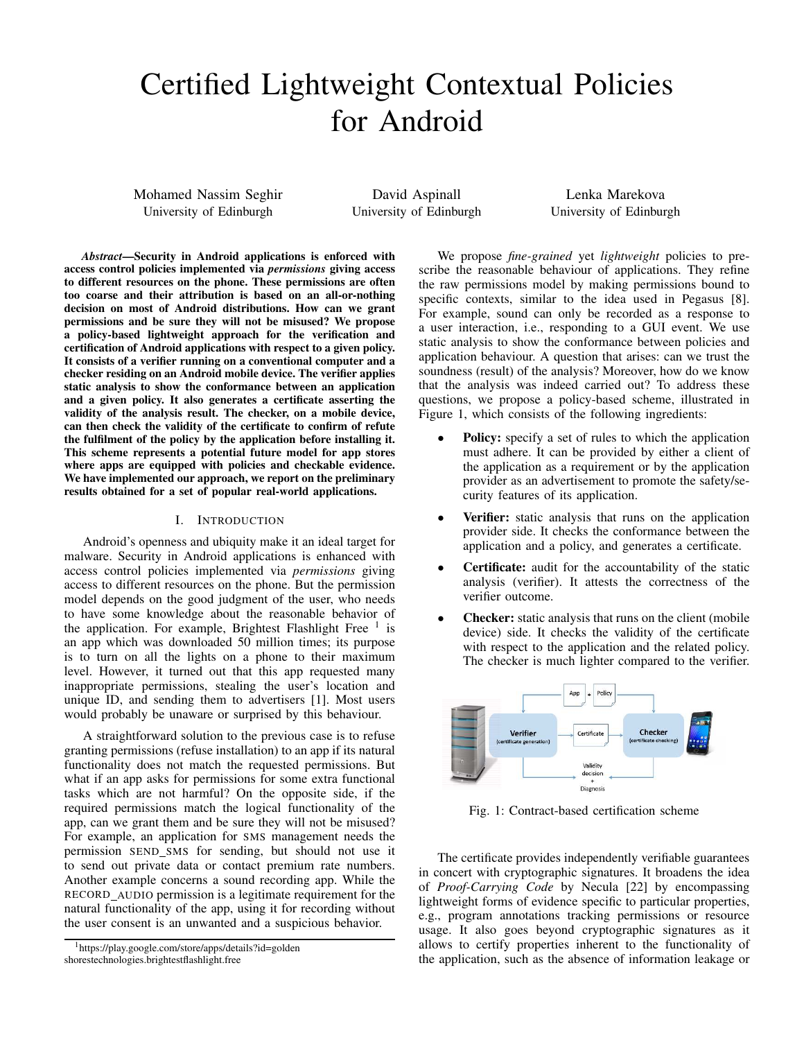# Certified Lightweight Contextual Policies for Android

Mohamed Nassim Seghir University of Edinburgh

David Aspinall University of Edinburgh

Lenka Marekova University of Edinburgh

*Abstract*—Security in Android applications is enforced with access control policies implemented via *permissions* giving access to different resources on the phone. These permissions are often too coarse and their attribution is based on an all-or-nothing decision on most of Android distributions. How can we grant permissions and be sure they will not be misused? We propose a policy-based lightweight approach for the verification and certification of Android applications with respect to a given policy. It consists of a verifier running on a conventional computer and a checker residing on an Android mobile device. The verifier applies static analysis to show the conformance between an application and a given policy. It also generates a certificate asserting the validity of the analysis result. The checker, on a mobile device, can then check the validity of the certificate to confirm of refute the fulfilment of the policy by the application before installing it. This scheme represents a potential future model for app stores where apps are equipped with policies and checkable evidence. We have implemented our approach, we report on the preliminary results obtained for a set of popular real-world applications.

#### I. INTRODUCTION

Android's openness and ubiquity make it an ideal target for malware. Security in Android applications is enhanced with access control policies implemented via *permissions* giving access to different resources on the phone. But the permission model depends on the good judgment of the user, who needs to have some knowledge about the reasonable behavior of the application. For example, Brightest Flashlight Free  $<sup>1</sup>$  is</sup> an app which was downloaded 50 million times; its purpose is to turn on all the lights on a phone to their maximum level. However, it turned out that this app requested many inappropriate permissions, stealing the user's location and unique ID, and sending them to advertisers [1]. Most users would probably be unaware or surprised by this behaviour.

A straightforward solution to the previous case is to refuse granting permissions (refuse installation) to an app if its natural functionality does not match the requested permissions. But what if an app asks for permissions for some extra functional tasks which are not harmful? On the opposite side, if the required permissions match the logical functionality of the app, can we grant them and be sure they will not be misused? For example, an application for SMS management needs the permission SEND\_SMS for sending, but should not use it to send out private data or contact premium rate numbers. Another example concerns a sound recording app. While the RECORD AUDIO permission is a legitimate requirement for the natural functionality of the app, using it for recording without the user consent is an unwanted and a suspicious behavior.

<sup>1</sup>https://play.google.com/store/apps/details?id=golden shorestechnologies.brightestflashlight.free

We propose *fine-grained* yet *lightweight* policies to prescribe the reasonable behaviour of applications. They refine the raw permissions model by making permissions bound to specific contexts, similar to the idea used in Pegasus [8]. For example, sound can only be recorded as a response to a user interaction, i.e., responding to a GUI event. We use static analysis to show the conformance between policies and application behaviour. A question that arises: can we trust the soundness (result) of the analysis? Moreover, how do we know that the analysis was indeed carried out? To address these questions, we propose a policy-based scheme, illustrated in Figure 1, which consists of the following ingredients:

- **Policy:** specify a set of rules to which the application must adhere. It can be provided by either a client of the application as a requirement or by the application provider as an advertisement to promote the safety/security features of its application.
- **Verifier:** static analysis that runs on the application provider side. It checks the conformance between the application and a policy, and generates a certificate.
- **Certificate:** audit for the accountability of the static analysis (verifier). It attests the correctness of the verifier outcome.
- **Checker:** static analysis that runs on the client (mobile device) side. It checks the validity of the certificate with respect to the application and the related policy. The checker is much lighter compared to the verifier.



Fig. 1: Contract-based certification scheme

The certificate provides independently verifiable guarantees in concert with cryptographic signatures. It broadens the idea of *Proof-Carrying Code* by Necula [22] by encompassing lightweight forms of evidence specific to particular properties, e.g., program annotations tracking permissions or resource usage. It also goes beyond cryptographic signatures as it allows to certify properties inherent to the functionality of the application, such as the absence of information leakage or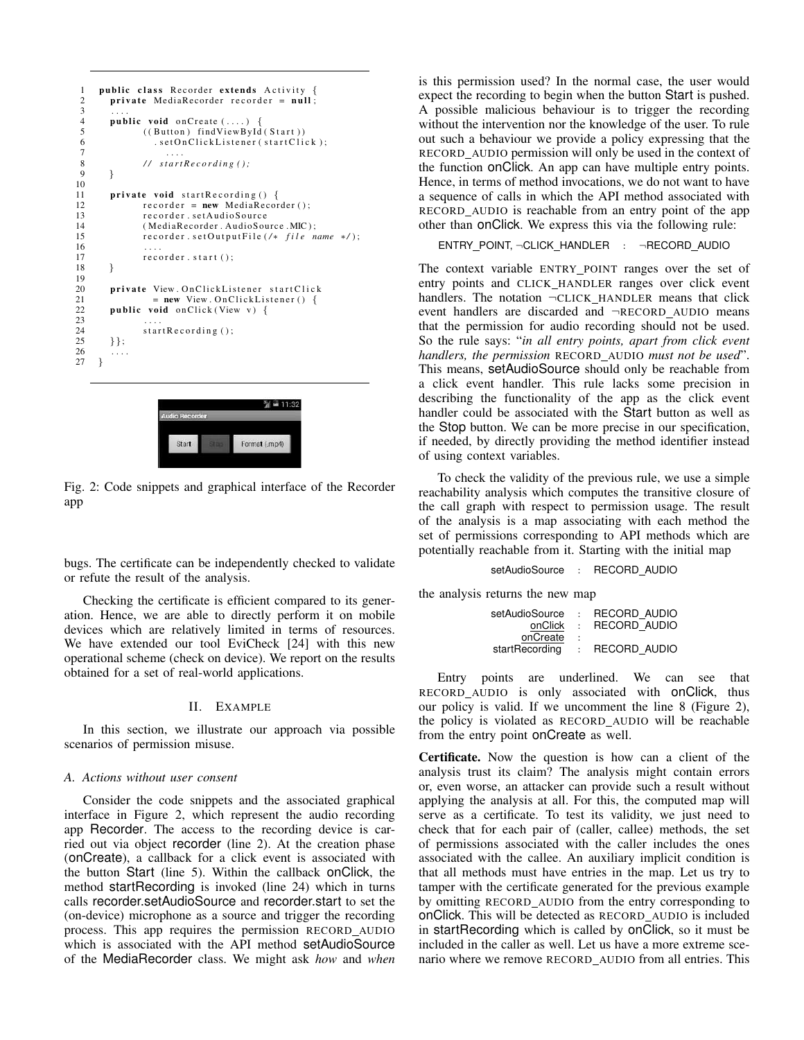```
1 public class Recorder extends Activity {<br>2 private MediaRecorder recorder = null:
 2 private MediaRecorder recorder = null;<br>3 ....
 3 . . . .
 4 public void onCreate (....) {<br>5 ((Button) findViewById
 5 ((Button) findViewById(Start))<br>6 setOnClickListener(startClion)
                    . set On Click Listener (start Click);
 7 . . . .
 8 // startRecording();<br>9 }
        9 }
\begin{array}{c} 10 \\ 11 \end{array}11 private void startRecording () {<br>12 recorder = new MediaRecord
12 recorder = new MediaRecorder();<br>13 recorder.setAudioSource
                 r e corder . set Audio Source
14 (MediaRecorder . AudioSource . MIC);<br>15 recorder . setOutputFile (/* file n
                 r ecorder . set Out put File (/* file name */);
16 \qquad \qquad \ldots17 recorder. start ();
18 }
\frac{19}{20}20 private View On Click Listener start Click 21 = new View On Click Listener () {
                   = new View. On Click Listener () {
22 public void onClick (View v) {<br>23 ....
23 . . . . .
24 startRecording ();
25 }};
26
27 }
```


Fig. 2: Code snippets and graphical interface of the Recorder app

bugs. The certificate can be independently checked to validate or refute the result of the analysis.

Checking the certificate is efficient compared to its generation. Hence, we are able to directly perform it on mobile devices which are relatively limited in terms of resources. We have extended our tool EviCheck [24] with this new operational scheme (check on device). We report on the results obtained for a set of real-world applications.

#### II. EXAMPLE

In this section, we illustrate our approach via possible scenarios of permission misuse.

#### *A. Actions without user consent*

Consider the code snippets and the associated graphical interface in Figure 2, which represent the audio recording app Recorder. The access to the recording device is carried out via object recorder (line 2). At the creation phase (onCreate), a callback for a click event is associated with the button Start (line 5). Within the callback onClick, the method startRecording is invoked (line 24) which in turns calls recorder.setAudioSource and recorder.start to set the (on-device) microphone as a source and trigger the recording process. This app requires the permission RECORD AUDIO which is associated with the API method setAudioSource of the MediaRecorder class. We might ask *how* and *when*

is this permission used? In the normal case, the user would expect the recording to begin when the button Start is pushed. A possible malicious behaviour is to trigger the recording without the intervention nor the knowledge of the user. To rule out such a behaviour we provide a policy expressing that the RECORD AUDIO permission will only be used in the context of the function onClick. An app can have multiple entry points. Hence, in terms of method invocations, we do not want to have a sequence of calls in which the API method associated with RECORD AUDIO is reachable from an entry point of the app other than onClick. We express this via the following rule:

ENTRY POINT, ¬CLICK HANDLER : ¬RECORD AUDIO

The context variable ENTRY\_POINT ranges over the set of entry points and CLICK HANDLER ranges over click event handlers. The notation  $\neg$ CLICK HANDLER means that click event handlers are discarded and ¬RECORD AUDIO means that the permission for audio recording should not be used. So the rule says: "*in all entry points, apart from click event handlers, the permission* RECORD AUDIO *must not be used*". This means, setAudioSource should only be reachable from a click event handler. This rule lacks some precision in describing the functionality of the app as the click event handler could be associated with the Start button as well as the Stop button. We can be more precise in our specification, if needed, by directly providing the method identifier instead of using context variables.

To check the validity of the previous rule, we use a simple reachability analysis which computes the transitive closure of the call graph with respect to permission usage. The result of the analysis is a map associating with each method the set of permissions corresponding to API methods which are potentially reachable from it. Starting with the initial map

```
setAudioSource : RECORD_AUDIO
```
the analysis returns the new map

| setAudioSource | $\bullet$            | RECORD AUDIO |
|----------------|----------------------|--------------|
| onClick        | $\cdot$              | RECORD AUDIO |
| onCreate       | $\ddot{\phantom{a}}$ |              |
| startRecording |                      | RECORD AUDIO |

Entry points are underlined. We can see that RECORD AUDIO is only associated with onClick, thus our policy is valid. If we uncomment the line 8 (Figure 2), the policy is violated as RECORD AUDIO will be reachable from the entry point onCreate as well.

Certificate. Now the question is how can a client of the analysis trust its claim? The analysis might contain errors or, even worse, an attacker can provide such a result without applying the analysis at all. For this, the computed map will serve as a certificate. To test its validity, we just need to check that for each pair of (caller, callee) methods, the set of permissions associated with the caller includes the ones associated with the callee. An auxiliary implicit condition is that all methods must have entries in the map. Let us try to tamper with the certificate generated for the previous example by omitting RECORD AUDIO from the entry corresponding to onClick. This will be detected as RECORD\_AUDIO is included in startRecording which is called by onClick, so it must be included in the caller as well. Let us have a more extreme scenario where we remove RECORD AUDIO from all entries. This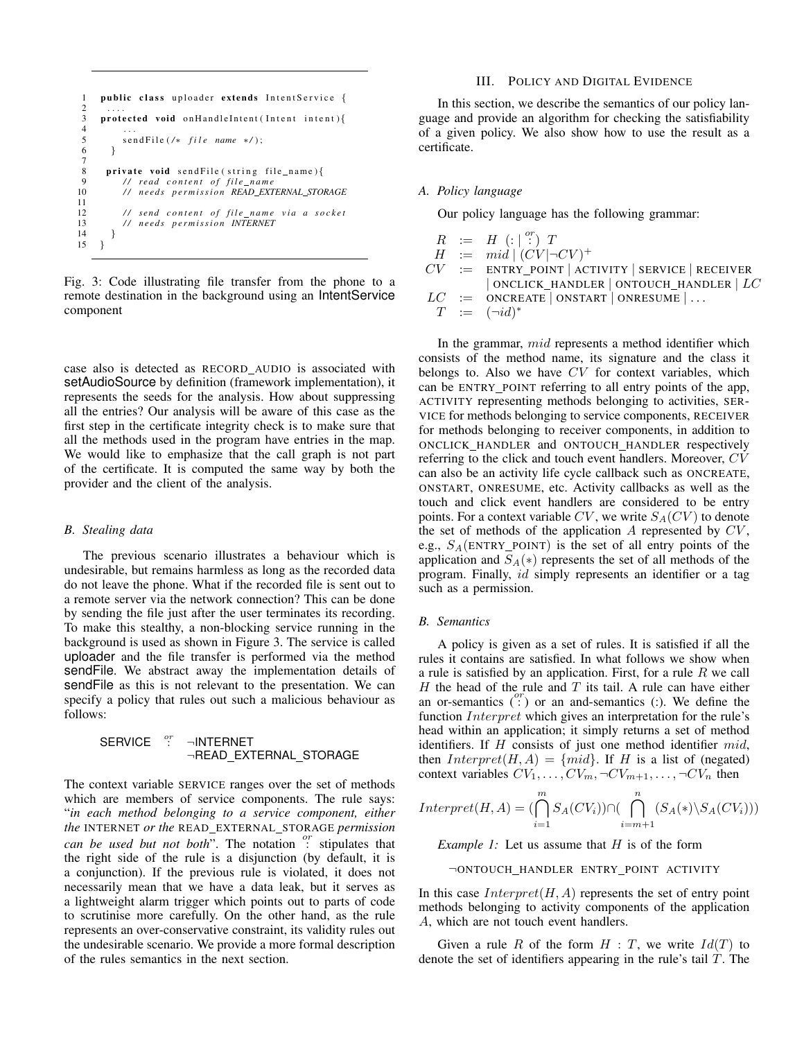```
public class uploader extends IntentService {
 2 . . . .
3 protected void on HandleIntent (Intent intent) {
 4 . . .
5 sendFile(/* file name */);
 6 }
7
8 private void sendFile(string file_name){<br>9 // read content of file name
9 / / r e a d c o n t e n t o f f i l e n a m e
10 / / n e e d s p e r m i s s i o n READ EXTERNAL STORAGE
\frac{11}{12}12 // send content of file_name via a socket<br>13 // needs permission INTERNET
            13 / / n e e d s p e r m i s s i o n INTERNET
\begin{matrix} 14 & 15 \\ 15 & 1 \end{matrix}\}
```
Fig. 3: Code illustrating file transfer from the phone to a remote destination in the background using an IntentService component

case also is detected as RECORD AUDIO is associated with setAudioSource by definition (framework implementation), it represents the seeds for the analysis. How about suppressing all the entries? Our analysis will be aware of this case as the first step in the certificate integrity check is to make sure that all the methods used in the program have entries in the map. We would like to emphasize that the call graph is not part of the certificate. It is computed the same way by both the provider and the client of the analysis.

#### *B. Stealing data*

The previous scenario illustrates a behaviour which is undesirable, but remains harmless as long as the recorded data do not leave the phone. What if the recorded file is sent out to a remote server via the network connection? This can be done by sending the file just after the user terminates its recording. To make this stealthy, a non-blocking service running in the background is used as shown in Figure 3. The service is called uploader and the file transfer is performed via the method sendFile. We abstract away the implementation details of sendFile as this is not relevant to the presentation. We can specify a policy that rules out such a malicious behaviour as follows:

#### SERVICE <sup>or</sup> : ¬INTERNET ¬READ EXTERNAL STORAGE

The context variable SERVICE ranges over the set of methods which are members of service components. The rule says: "*in each method belonging to a service component, either the* INTERNET *or the* READ EXTERNAL STORAGE *permission can be used but not both*". The notation  $\frac{\partial r}{\partial r}$  stipulates that the right side of the rule is a disjunction (by default, it is a conjunction). If the previous rule is violated, it does not necessarily mean that we have a data leak, but it serves as a lightweight alarm trigger which points out to parts of code to scrutinise more carefully. On the other hand, as the rule represents an over-conservative constraint, its validity rules out the undesirable scenario. We provide a more formal description of the rules semantics in the next section.

#### III. POLICY AND DIGITAL EVIDENCE

In this section, we describe the semantics of our policy language and provide an algorithm for checking the satisfiability of a given policy. We also show how to use the result as a certificate.

#### *A. Policy language*

Our policy language has the following grammar:

 $R := H (\colon | \overset{or}{\colon} ) T$  $H$  :=  $mid (CV|\neg CV)^+$  $CV$  := ENTRY\_POINT | ACTIVITY | SERVICE | RECEIVER  $|$  ONCLICK HANDLER  $|$  ONTOUCH HANDLER  $|$  LC  $LC := \text{ONCREATE} | \text{ONSTART} | \text{ONRESUME} | ...$ <br>  $T := (-id)^*$  $T = (\neg id)^*$ 

In the grammar, mid represents a method identifier which consists of the method name, its signature and the class it belongs to. Also we have CV for context variables, which can be ENTRY\_POINT referring to all entry points of the app, ACTIVITY representing methods belonging to activities, SER-VICE for methods belonging to service components, RECEIVER for methods belonging to receiver components, in addition to ONCLICK HANDLER and ONTOUCH HANDLER respectively referring to the click and touch event handlers. Moreover, CV can also be an activity life cycle callback such as ONCREATE, ONSTART, ONRESUME, etc. Activity callbacks as well as the touch and click event handlers are considered to be entry points. For a context variable  $CV$ , we write  $S_A(CV)$  to denote the set of methods of the application  $A$  represented by  $CV$ , e.g.,  $S_A$ (ENTRY\_POINT) is the set of all entry points of the application and  $S_A(*)$  represents the set of all methods of the program. Finally, id simply represents an identifier or a tag such as a permission.

#### *B. Semantics*

A policy is given as a set of rules. It is satisfied if all the rules it contains are satisfied. In what follows we show when a rule is satisfied by an application. First, for a rule R we call  $H$  the head of the rule and  $T$  its tail. A rule can have either an or-semantics  $\binom{or}{f}$  or an and-semantics (:). We define the function *Interpret* which gives an interpretation for the rule's head within an application; it simply returns a set of method identifiers. If  $H$  consists of just one method identifier  $mid$ , then  $Interpret(H, A) = \{mid\}$ . If H is a list of (negated) context variables  $CV_1, \ldots, CV_m, \neg CV_{m+1}, \ldots, \neg CV_n$  then

$$
Interpret(H, A) = (\bigcap_{i=1}^{m} S_A(CV_i)) \cap (\bigcap_{i=m+1}^{n} (S_A(*) \setminus S_A(CV_i)))
$$

*Example 1:* Let us assume that H is of the form

#### ¬ONTOUCH HANDLER ENTRY POINT ACTIVITY

In this case  $Interpret(H, A)$  represents the set of entry point methods belonging to activity components of the application A, which are not touch event handlers.

Given a rule R of the form  $H : T$ , we write  $Id(T)$  to denote the set of identifiers appearing in the rule's tail  $T$ . The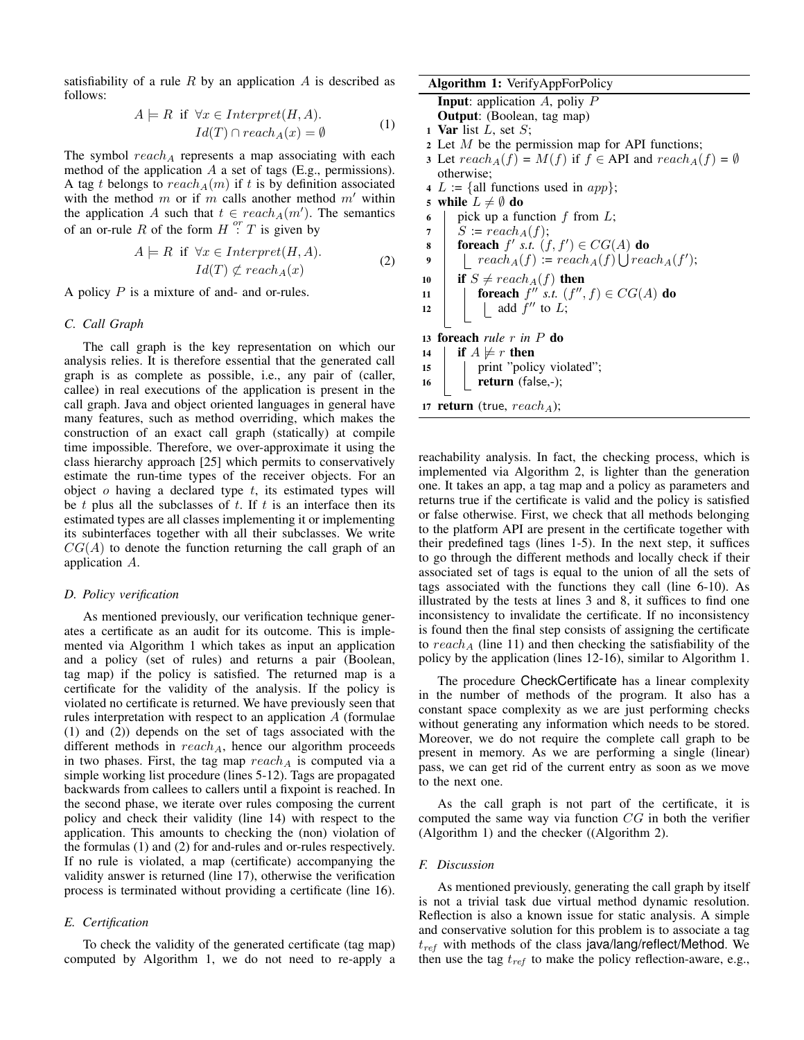satisfiability of a rule  $R$  by an application  $A$  is described as follows:

$$
A \models R \text{ if } \forall x \in Interpret(H, A).\nId(T) \cap reach_A(x) = \emptyset
$$
\n(1)

The symbol  $reach_A$  represents a map associating with each method of the application A a set of tags (E.g., permissions). A tag t belongs to  $reach_A(m)$  if t is by definition associated with the method  $m$  or if  $m$  calls another method  $m'$  within the application A such that  $t \in reach_A(m')$ . The semantics of an or-rule R of the form  $H^{or}$ : T is given by

$$
A \models R \text{ if } \forall x \in Interpret(H, A).\nId(T) \not\subset reach_A(x) \tag{2}
$$

A policy  $P$  is a mixture of and- and or-rules.

#### *C. Call Graph*

The call graph is the key representation on which our analysis relies. It is therefore essential that the generated call graph is as complete as possible, i.e., any pair of (caller, callee) in real executions of the application is present in the call graph. Java and object oriented languages in general have many features, such as method overriding, which makes the construction of an exact call graph (statically) at compile time impossible. Therefore, we over-approximate it using the class hierarchy approach [25] which permits to conservatively estimate the run-time types of the receiver objects. For an object  $o$  having a declared type  $t$ , its estimated types will be  $t$  plus all the subclasses of  $t$ . If  $t$  is an interface then its estimated types are all classes implementing it or implementing its subinterfaces together with all their subclasses. We write  $CG(A)$  to denote the function returning the call graph of an application A.

#### *D. Policy verification*

As mentioned previously, our verification technique generates a certificate as an audit for its outcome. This is implemented via Algorithm 1 which takes as input an application and a policy (set of rules) and returns a pair (Boolean, tag map) if the policy is satisfied. The returned map is a certificate for the validity of the analysis. If the policy is violated no certificate is returned. We have previously seen that rules interpretation with respect to an application A (formulae (1) and (2)) depends on the set of tags associated with the different methods in  $reach_A$ , hence our algorithm proceeds in two phases. First, the tag map  $reach<sub>A</sub>$  is computed via a simple working list procedure (lines 5-12). Tags are propagated backwards from callees to callers until a fixpoint is reached. In the second phase, we iterate over rules composing the current policy and check their validity (line 14) with respect to the application. This amounts to checking the (non) violation of the formulas (1) and (2) for and-rules and or-rules respectively. If no rule is violated, a map (certificate) accompanying the validity answer is returned (line 17), otherwise the verification process is terminated without providing a certificate (line 16).

#### *E. Certification*

To check the validity of the generated certificate (tag map) computed by Algorithm 1, we do not need to re-apply a

| <b>Algorithm 1:</b> VerifyAppForPolicy                                |  |  |  |  |  |
|-----------------------------------------------------------------------|--|--|--|--|--|
| <b>Input:</b> application $A$ , poliy $P$                             |  |  |  |  |  |
| <b>Output</b> : (Boolean, tag map)                                    |  |  |  |  |  |
| 1 Var list $L$ , set $S$ ;                                            |  |  |  |  |  |
| 2 Let $M$ be the permission map for API functions;                    |  |  |  |  |  |
| 3 Let $reach_A(f) = M(f)$ if $f \in API$ and $reach_A(f) = \emptyset$ |  |  |  |  |  |
| otherwise;                                                            |  |  |  |  |  |
| 4 L := {all functions used in $app$ };                                |  |  |  |  |  |
| 5 while $L \neq \emptyset$ do                                         |  |  |  |  |  |
| pick up a function $f$ from $L$ ;<br>6                                |  |  |  |  |  |
| $S := reach_A(f);$<br>7                                               |  |  |  |  |  |
| <b>foreach</b> $f'$ s.t. $(f, f') \in CG(A)$ do<br>8                  |  |  |  |  |  |
| $reach_A(f) := reach_A(f) \bigcup reach_A(f');$<br>9                  |  |  |  |  |  |
| if $S \neq reach_A(f)$ then<br>10                                     |  |  |  |  |  |
| foreach $f''$ s.t. $(f'', f) \in CG(A)$ do<br>11                      |  |  |  |  |  |
| add $f''$ to $L$ ;<br>12                                              |  |  |  |  |  |
|                                                                       |  |  |  |  |  |
| 13 <b>foreach</b> rule $r$ in $P$ <b>do</b>                           |  |  |  |  |  |
| if $A \not\models r$ then<br>14                                       |  |  |  |  |  |
| print "policy violated";<br>15                                        |  |  |  |  |  |
| return (false,-);<br>16                                               |  |  |  |  |  |
| 17 <b>return</b> (true, $reach_A$ );                                  |  |  |  |  |  |

reachability analysis. In fact, the checking process, which is implemented via Algorithm 2, is lighter than the generation one. It takes an app, a tag map and a policy as parameters and returns true if the certificate is valid and the policy is satisfied or false otherwise. First, we check that all methods belonging to the platform API are present in the certificate together with their predefined tags (lines 1-5). In the next step, it suffices to go through the different methods and locally check if their associated set of tags is equal to the union of all the sets of tags associated with the functions they call (line 6-10). As illustrated by the tests at lines 3 and 8, it suffices to find one inconsistency to invalidate the certificate. If no inconsistency is found then the final step consists of assigning the certificate to  $reach_A$  (line 11) and then checking the satisfiability of the policy by the application (lines 12-16), similar to Algorithm 1.

The procedure CheckCertificate has a linear complexity in the number of methods of the program. It also has a constant space complexity as we are just performing checks without generating any information which needs to be stored. Moreover, we do not require the complete call graph to be present in memory. As we are performing a single (linear) pass, we can get rid of the current entry as soon as we move to the next one.

As the call graph is not part of the certificate, it is computed the same way via function  $CG$  in both the verifier (Algorithm 1) and the checker ((Algorithm 2).

#### *F. Discussion*

As mentioned previously, generating the call graph by itself is not a trivial task due virtual method dynamic resolution. Reflection is also a known issue for static analysis. A simple and conservative solution for this problem is to associate a tag  $t_{ref}$  with methods of the class java/lang/reflect/Method. We then use the tag  $t_{ref}$  to make the policy reflection-aware, e.g.,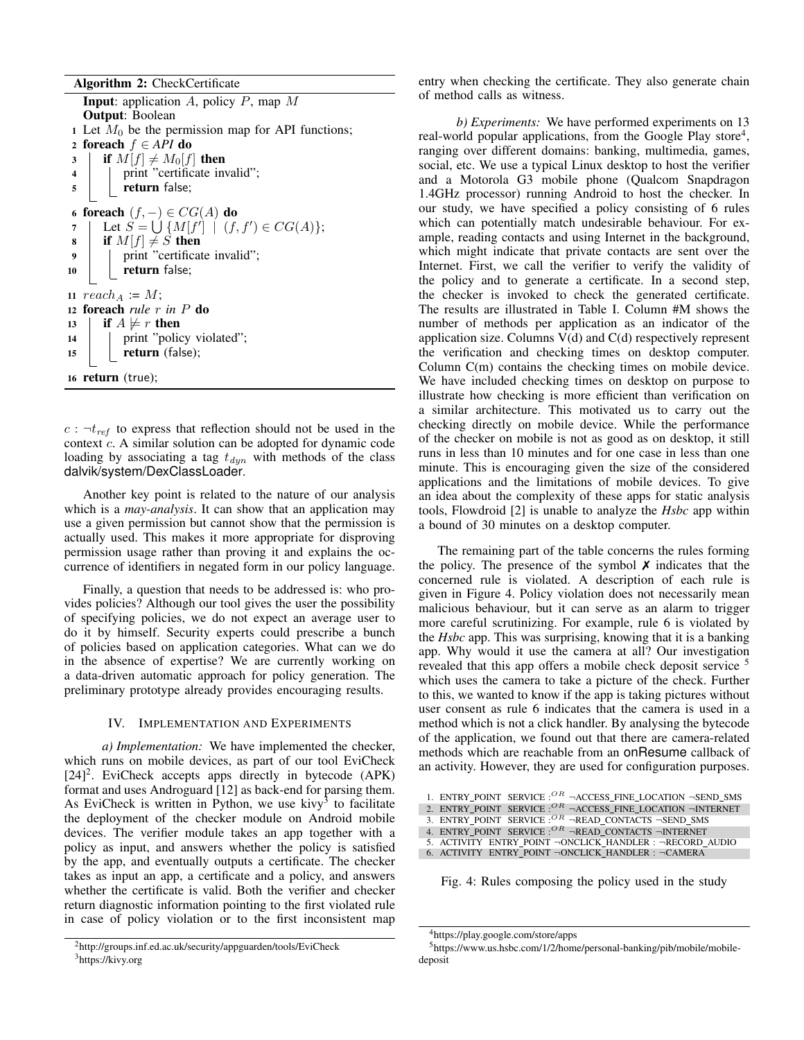Algorithm 2: CheckCertificate

**Input:** application  $A$ , policy  $P$ , map  $M$ Output: Boolean 1 Let  $M_0$  be the permission map for API functions; <sup>2</sup> foreach f ∈ *API* do  $3$  | if  $M[f] \neq M_0[f]$  then 4 | print "certificate invalid"; 5 **return** false; 6 foreach  $(f, -) \in CG(A)$  do 7 | Let  $S = \bigcup \{M[f'] \mid (f, f') \in CG(A)\};$ 8 if  $M[f] \neq S$  then 9 print "certificate invalid"; 10 **return** false; 11  $reach_A := M;$ <sup>12</sup> foreach *rule* r *in* P do 13 **if**  $A \not\models r$  then 14 | print "policy violated";  $15$  **return** (false); <sup>16</sup> return (true);

 $c : \neg t_{ref}$  to express that reflection should not be used in the context c. A similar solution can be adopted for dynamic code loading by associating a tag  $t_{dyn}$  with methods of the class dalvik/system/DexClassLoader.

Another key point is related to the nature of our analysis which is a *may-analysis*. It can show that an application may use a given permission but cannot show that the permission is actually used. This makes it more appropriate for disproving permission usage rather than proving it and explains the occurrence of identifiers in negated form in our policy language.

Finally, a question that needs to be addressed is: who provides policies? Although our tool gives the user the possibility of specifying policies, we do not expect an average user to do it by himself. Security experts could prescribe a bunch of policies based on application categories. What can we do in the absence of expertise? We are currently working on a data-driven automatic approach for policy generation. The preliminary prototype already provides encouraging results.

#### IV. IMPLEMENTATION AND EXPERIMENTS

*a) Implementation:* We have implemented the checker, which runs on mobile devices, as part of our tool EviCheck [24]<sup>2</sup>. EviCheck accepts apps directly in bytecode (APK) format and uses Androguard [12] as back-end for parsing them. As EviCheck is written in Python, we use kivy $\frac{3}{5}$  to facilitate the deployment of the checker module on Android mobile devices. The verifier module takes an app together with a policy as input, and answers whether the policy is satisfied by the app, and eventually outputs a certificate. The checker takes as input an app, a certificate and a policy, and answers whether the certificate is valid. Both the verifier and checker return diagnostic information pointing to the first violated rule in case of policy violation or to the first inconsistent map entry when checking the certificate. They also generate chain of method calls as witness.

*b) Experiments:* We have performed experiments on 13 real-world popular applications, from the Google Play store<sup>4</sup>, ranging over different domains: banking, multimedia, games, social, etc. We use a typical Linux desktop to host the verifier and a Motorola G3 mobile phone (Qualcom Snapdragon 1.4GHz processor) running Android to host the checker. In our study, we have specified a policy consisting of 6 rules which can potentially match undesirable behaviour. For example, reading contacts and using Internet in the background, which might indicate that private contacts are sent over the Internet. First, we call the verifier to verify the validity of the policy and to generate a certificate. In a second step, the checker is invoked to check the generated certificate. The results are illustrated in Table I. Column #M shows the number of methods per application as an indicator of the application size. Columns V(d) and C(d) respectively represent the verification and checking times on desktop computer. Column C(m) contains the checking times on mobile device. We have included checking times on desktop on purpose to illustrate how checking is more efficient than verification on a similar architecture. This motivated us to carry out the checking directly on mobile device. While the performance of the checker on mobile is not as good as on desktop, it still runs in less than 10 minutes and for one case in less than one minute. This is encouraging given the size of the considered applications and the limitations of mobile devices. To give an idea about the complexity of these apps for static analysis tools, Flowdroid [2] is unable to analyze the *Hsbc* app within a bound of 30 minutes on a desktop computer.

The remaining part of the table concerns the rules forming the policy. The presence of the symbol  $\chi$  indicates that the concerned rule is violated. A description of each rule is given in Figure 4. Policy violation does not necessarily mean malicious behaviour, but it can serve as an alarm to trigger more careful scrutinizing. For example, rule 6 is violated by the *Hsbc* app. This was surprising, knowing that it is a banking app. Why would it use the camera at all? Our investigation revealed that this app offers a mobile check deposit service <sup>5</sup> which uses the camera to take a picture of the check. Further to this, we wanted to know if the app is taking pictures without user consent as rule 6 indicates that the camera is used in a method which is not a click handler. By analysing the bytecode of the application, we found out that there are camera-related methods which are reachable from an onResume callback of an activity. However, they are used for configuration purposes.

- 2. ENTRY\_POINT SERVICE :  $^{OR}$   $\neg$  ACCESS\_FINE\_LOCATION  $\neg$  INTERNET
- 3. ENTRY\_POINT SERVICE : $^{OR}$   $\neg$ READ\_CONTACTS  $\neg$ SEND\_SMS
- 4. ENTRY\_POINT SERVICE : $^{OR}$   $\neg$ READ\_CONTACTS  $\neg$ INTERNET 5. ACTIVITY ENTRY POINT ¬ONCLICK HANDLER : ¬RECORD AUDIO
- 6. ACTIVITY ENTRY POINT ¬ONCLICK HANDLER : ¬CAMERA

Fig. 4: Rules composing the policy used in the study

<sup>2</sup>http://groups.inf.ed.ac.uk/security/appguarden/tools/EviCheck <sup>3</sup>https://kivy.org

<sup>1.</sup> ENTRY\_POINT SERVICE :  $^{OR}$   $\neg$  ACCESS\_FINE\_LOCATION  $\neg$ SEND\_SMS

<sup>4</sup>https://play.google.com/store/apps

<sup>5</sup>https://www.us.hsbc.com/1/2/home/personal-banking/pib/mobile/mobiledeposit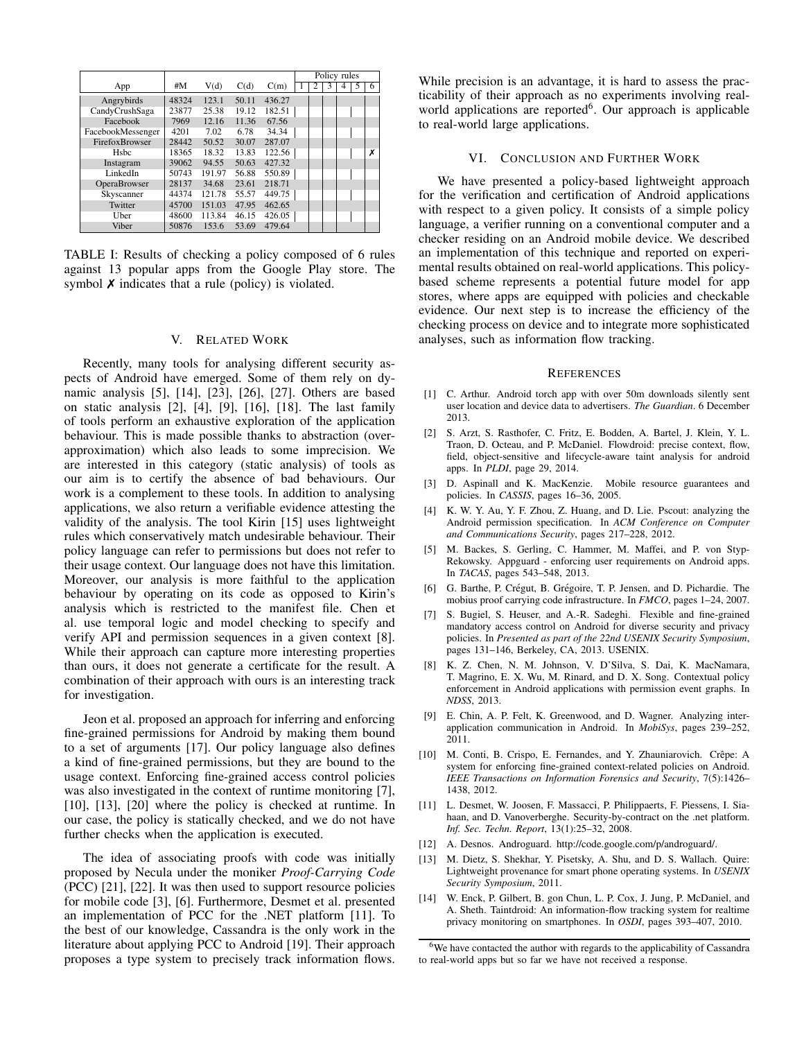|                        |       |        |       |        | Policy rules |  |   |   |  |   |
|------------------------|-------|--------|-------|--------|--------------|--|---|---|--|---|
| App                    | #M    | V(d)   | C(d)  | C(m)   |              |  | 3 | 4 |  | 6 |
| Angrybirds             | 48324 | 123.1  | 50.11 | 436.27 |              |  |   |   |  |   |
| CandyCrushSaga         | 23877 | 25.38  | 19.12 | 182.51 |              |  |   |   |  |   |
| Facebook               | 7969  | 12.16  | 11.36 | 67.56  |              |  |   |   |  |   |
| FacebookMessenger      | 4201  | 7.02   | 6.78  | 34.34  |              |  |   |   |  |   |
| <b>Firefox Browser</b> | 28442 | 50.52  | 30.07 | 287.07 |              |  |   |   |  |   |
| Hsbc                   | 18365 | 18.32  | 13.83 | 122.56 |              |  |   |   |  | X |
| Instagram              | 39062 | 94.55  | 50.63 | 427.32 |              |  |   |   |  |   |
| LinkedIn               | 50743 | 191.97 | 56.88 | 550.89 |              |  |   |   |  |   |
| OperaBrowser           | 28137 | 34.68  | 23.61 | 218.71 |              |  |   |   |  |   |
| Skyscanner             | 44374 | 121.78 | 55.57 | 449.75 |              |  |   |   |  |   |
| Twitter                | 45700 | 151.03 | 47.95 | 462.65 |              |  |   |   |  |   |
| Uber                   | 48600 | 113.84 | 46.15 | 426.05 |              |  |   |   |  |   |
| Viber                  | 50876 | 153.6  | 53.69 | 479.64 |              |  |   |   |  |   |

TABLE I: Results of checking a policy composed of 6 rules against 13 popular apps from the Google Play store. The symbol  $\chi$  indicates that a rule (policy) is violated.

#### V. RELATED WORK

Recently, many tools for analysing different security aspects of Android have emerged. Some of them rely on dynamic analysis [5], [14], [23], [26], [27]. Others are based on static analysis [2], [4], [9], [16], [18]. The last family of tools perform an exhaustive exploration of the application behaviour. This is made possible thanks to abstraction (overapproximation) which also leads to some imprecision. We are interested in this category (static analysis) of tools as our aim is to certify the absence of bad behaviours. Our work is a complement to these tools. In addition to analysing applications, we also return a verifiable evidence attesting the validity of the analysis. The tool Kirin [15] uses lightweight rules which conservatively match undesirable behaviour. Their policy language can refer to permissions but does not refer to their usage context. Our language does not have this limitation. Moreover, our analysis is more faithful to the application behaviour by operating on its code as opposed to Kirin's analysis which is restricted to the manifest file. Chen et al. use temporal logic and model checking to specify and verify API and permission sequences in a given context [8]. While their approach can capture more interesting properties than ours, it does not generate a certificate for the result. A combination of their approach with ours is an interesting track for investigation.

Jeon et al. proposed an approach for inferring and enforcing fine-grained permissions for Android by making them bound to a set of arguments [17]. Our policy language also defines a kind of fine-grained permissions, but they are bound to the usage context. Enforcing fine-grained access control policies was also investigated in the context of runtime monitoring [7], [10], [13], [20] where the policy is checked at runtime. In our case, the policy is statically checked, and we do not have further checks when the application is executed.

The idea of associating proofs with code was initially proposed by Necula under the moniker *Proof-Carrying Code* (PCC) [21], [22]. It was then used to support resource policies for mobile code [3], [6]. Furthermore, Desmet et al. presented an implementation of PCC for the .NET platform [11]. To the best of our knowledge, Cassandra is the only work in the literature about applying PCC to Android [19]. Their approach proposes a type system to precisely track information flows.

While precision is an advantage, it is hard to assess the practicability of their approach as no experiments involving realworld applications are reported<sup>6</sup>. Our approach is applicable to real-world large applications.

#### VI. CONCLUSION AND FURTHER WORK

We have presented a policy-based lightweight approach for the verification and certification of Android applications with respect to a given policy. It consists of a simple policy language, a verifier running on a conventional computer and a checker residing on an Android mobile device. We described an implementation of this technique and reported on experimental results obtained on real-world applications. This policybased scheme represents a potential future model for app stores, where apps are equipped with policies and checkable evidence. Our next step is to increase the efficiency of the checking process on device and to integrate more sophisticated analyses, such as information flow tracking.

#### **REFERENCES**

- [1] C. Arthur. Android torch app with over 50m downloads silently sent user location and device data to advertisers. *The Guardian*. 6 December 2013.
- [2] S. Arzt, S. Rasthofer, C. Fritz, E. Bodden, A. Bartel, J. Klein, Y. L. Traon, D. Octeau, and P. McDaniel. Flowdroid: precise context, flow, field, object-sensitive and lifecycle-aware taint analysis for android apps. In *PLDI*, page 29, 2014.
- [3] D. Aspinall and K. MacKenzie. Mobile resource guarantees and policies. In *CASSIS*, pages 16–36, 2005.
- [4] K. W. Y. Au, Y. F. Zhou, Z. Huang, and D. Lie. Pscout: analyzing the Android permission specification. In *ACM Conference on Computer and Communications Security*, pages 217–228, 2012.
- [5] M. Backes, S. Gerling, C. Hammer, M. Maffei, and P. von Styp-Rekowsky. Appguard - enforcing user requirements on Android apps. In *TACAS*, pages 543–548, 2013.
- [6] G. Barthe, P. Crégut, B. Grégoire, T. P. Jensen, and D. Pichardie. The mobius proof carrying code infrastructure. In *FMCO*, pages 1–24, 2007.
- [7] S. Bugiel, S. Heuser, and A.-R. Sadeghi. Flexible and fine-grained mandatory access control on Android for diverse security and privacy policies. In *Presented as part of the 22nd USENIX Security Symposium*, pages 131–146, Berkeley, CA, 2013. USENIX.
- [8] K. Z. Chen, N. M. Johnson, V. D'Silva, S. Dai, K. MacNamara, T. Magrino, E. X. Wu, M. Rinard, and D. X. Song. Contextual policy enforcement in Android applications with permission event graphs. In *NDSS*, 2013.
- [9] E. Chin, A. P. Felt, K. Greenwood, and D. Wagner. Analyzing interapplication communication in Android. In *MobiSys*, pages 239–252, 2011.
- [10] M. Conti, B. Crispo, E. Fernandes, and Y. Zhauniarovich. Crêpe: A system for enforcing fine-grained context-related policies on Android. *IEEE Transactions on Information Forensics and Security*, 7(5):1426– 1438, 2012.
- [11] L. Desmet, W. Joosen, F. Massacci, P. Philippaerts, F. Piessens, I. Siahaan, and D. Vanoverberghe. Security-by-contract on the .net platform. *Inf. Sec. Techn. Report*, 13(1):25–32, 2008.
- [12] A. Desnos. Androguard. http://code.google.com/p/androguard/.
- [13] M. Dietz, S. Shekhar, Y. Pisetsky, A. Shu, and D. S. Wallach. Quire: Lightweight provenance for smart phone operating systems. In *USENIX Security Symposium*, 2011.
- [14] W. Enck, P. Gilbert, B. gon Chun, L. P. Cox, J. Jung, P. McDaniel, and A. Sheth. Taintdroid: An information-flow tracking system for realtime privacy monitoring on smartphones. In *OSDI*, pages 393–407, 2010.

<sup>&</sup>lt;sup>6</sup>We have contacted the author with regards to the applicability of Cassandra to real-world apps but so far we have not received a response.